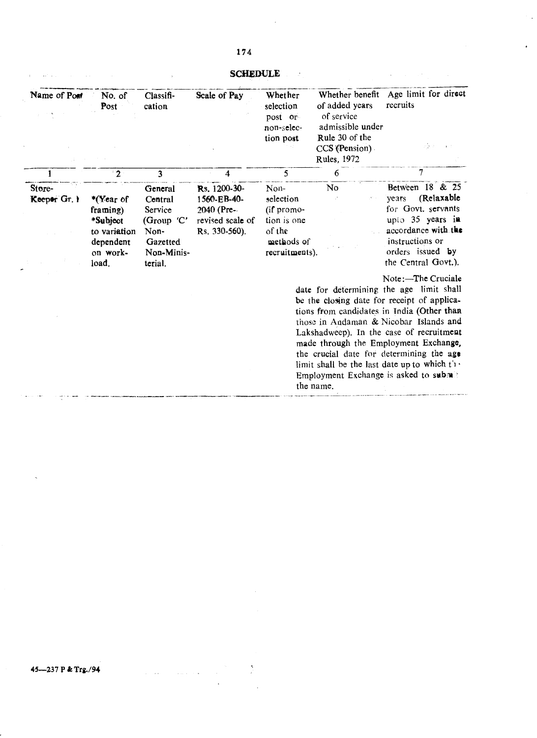**SCHEDULE Example 2008** 

 $\sim$   $\sim$ 

 $\mathbb{R}^d$ 

 $\Delta \phi$ 

| Name of Pont           | No. of<br>Post                                                                      | Classifi-<br>cation                                                                      | Scale of Pay                                                                   | Whether<br>selection<br>post or<br>non-selec-<br>tion post                               | Whether benefit<br>of added years<br>of service<br>admissible under<br>Rule 30 of the<br>$CCS$ (Pension)<br>Rules, 1972 | Age limit for direct<br>recruits<br>$\mathcal{P}(\mathbf{x},\mathcal{D})$                                                                                                                                                                                                                                                                                                                                                           |
|------------------------|-------------------------------------------------------------------------------------|------------------------------------------------------------------------------------------|--------------------------------------------------------------------------------|------------------------------------------------------------------------------------------|-------------------------------------------------------------------------------------------------------------------------|-------------------------------------------------------------------------------------------------------------------------------------------------------------------------------------------------------------------------------------------------------------------------------------------------------------------------------------------------------------------------------------------------------------------------------------|
|                        | $\sqrt{2}$                                                                          | 3                                                                                        | 4                                                                              | 5                                                                                        | 6                                                                                                                       | 7                                                                                                                                                                                                                                                                                                                                                                                                                                   |
| Store-<br>Keeper Gr. 1 | *(Year of<br>framing)<br>*Subject<br>to variation<br>dependent<br>on work-<br>load. | General<br>Central<br>Service<br>(Group 'C'<br>Non-<br>Gazetted<br>Non-Minis-<br>terial. | Rs. 1200-30-<br>1560-EB-40-<br>2040 (Pre-<br>revised scale of<br>Rs. 330-560). | Non-<br>selection<br>(if promo-<br>tion is one<br>of the<br>methods of<br>recruitments). | No                                                                                                                      | Between 18 & 25<br>(Relaxable<br>years<br>for Govt. servants<br>upio 35 years in<br>accordance with the<br>instructions or<br>orders issued by<br>the Central Govt.).                                                                                                                                                                                                                                                               |
|                        |                                                                                     |                                                                                          |                                                                                |                                                                                          | the name.                                                                                                               | Note:-The Cruciale<br>date for determining the age limit shall<br>be the closing date for receipt of applica-<br>tions from candidates in India (Other than<br>those in Andaman & Nicobar Islands and<br>Lakshadweep). In the case of recruitment<br>made through the Employment Exchange,<br>the crucial date for determining the age<br>limit shall be the last date up to which $t'$ .<br>Employment Exchange is asked to submit |

 $\sum_{i=1}^{\infty}$ 

45-237 P & Trg./94

 $\mathbb{Z}^2$ 

 $\hat{\mathcal{L}}$  , and  $\hat{\mathcal{L}}$  , and  $\hat{\mathcal{L}}$ 

 $\mathbf{q}$  is a set of  $\mathbf{q}$  , we can also a set of  $\mathbf{q}$  , we can also a set of  $\mathbf{q}$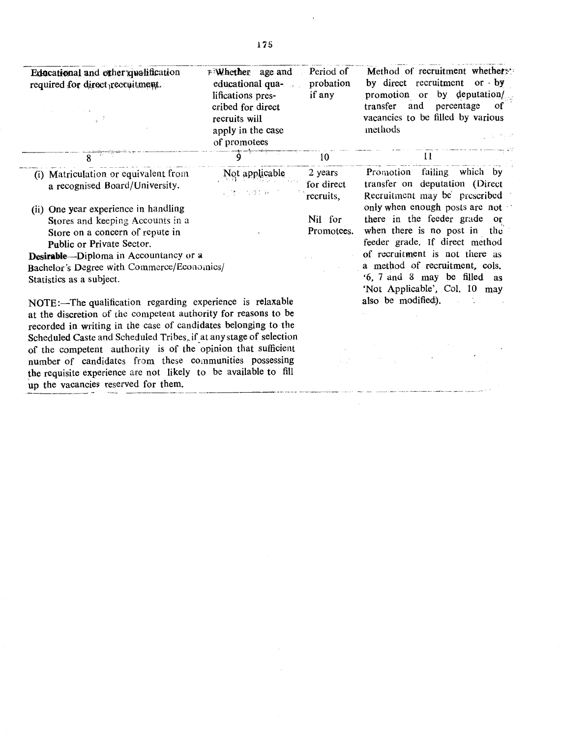| Educational and other qualification<br>required for direct recruitment.                                                                                                                   | $F$ Whether age and<br>educational qua-<br>lifications pres-<br>cribed for direct<br>recruits will<br>apply in the case<br>of promotees | Period of<br>probation<br>if any   | Method of recruitment whethers:<br>by direct recruitment or $by$<br>promotion or by deputation/<br>transfer and<br>percentage<br><b>of</b><br>vacancies to be filled by various<br>methods |
|-------------------------------------------------------------------------------------------------------------------------------------------------------------------------------------------|-----------------------------------------------------------------------------------------------------------------------------------------|------------------------------------|--------------------------------------------------------------------------------------------------------------------------------------------------------------------------------------------|
|                                                                                                                                                                                           |                                                                                                                                         | 10                                 | 11                                                                                                                                                                                         |
| (i) Matriculation or equivalent from<br>a recognised Board/University.                                                                                                                    | Not applicable<br>的复数 原始 医                                                                                                              | 2 years<br>for direct<br>recruits. | Promotion failing which by<br>transfer on deputation (Direct<br>Recruitment may be prescribed                                                                                              |
| (ii) One year experience in handling                                                                                                                                                      |                                                                                                                                         |                                    | only when enough posts are not                                                                                                                                                             |
| Stores and keeping Accounts in a                                                                                                                                                          |                                                                                                                                         | Nil for                            | there in the feeder grade or                                                                                                                                                               |
| Store on a concern of repute in                                                                                                                                                           |                                                                                                                                         | Promotees.                         | when there is no post in the                                                                                                                                                               |
| Public or Private Sector.                                                                                                                                                                 |                                                                                                                                         |                                    | feeder grade. If direct method                                                                                                                                                             |
| Desirable-Diploma in Accountancy or a                                                                                                                                                     |                                                                                                                                         |                                    | of recruitment is not there as                                                                                                                                                             |
| Bachelor's Degree with Commerce/Economics/                                                                                                                                                |                                                                                                                                         |                                    | a method of recruitment, cols.                                                                                                                                                             |
| Statistics as a subject.                                                                                                                                                                  |                                                                                                                                         |                                    | '6, 7 and 8 may be filled as<br>'Not Applicable', Col. 10 may                                                                                                                              |
| NOTE:-The qualification regarding experience is relaxable                                                                                                                                 |                                                                                                                                         | also be modified).                 |                                                                                                                                                                                            |
| at the discretion of the competent authority for reasons to be<br>recorded in writing in the case of candidates belonging to the                                                          |                                                                                                                                         |                                    |                                                                                                                                                                                            |
| Scheduled Caste and Scheduled Tribes, if at any stage of selection                                                                                                                        |                                                                                                                                         |                                    |                                                                                                                                                                                            |
| of the competent authority is of the opinion that sufficient<br>number of candidates from these communities possessing<br>the requisite experience are not likely to be available to fill |                                                                                                                                         |                                    |                                                                                                                                                                                            |

up the vacancies reserved for them. ا جا ب

 $\overline{\phantom{a}}$ 

 $\mathcal{A}$ 

 $\overline{\phantom{a}}$ 

 $\bullet$  and the component continues of  $\sim$  and  $\sim$  and  $\sim$  and  $\sim$  and  $\sim$  and  $\sim$  and  $\sim$  and  $\sim$  and  $\sim$   $\sim$   $\sim$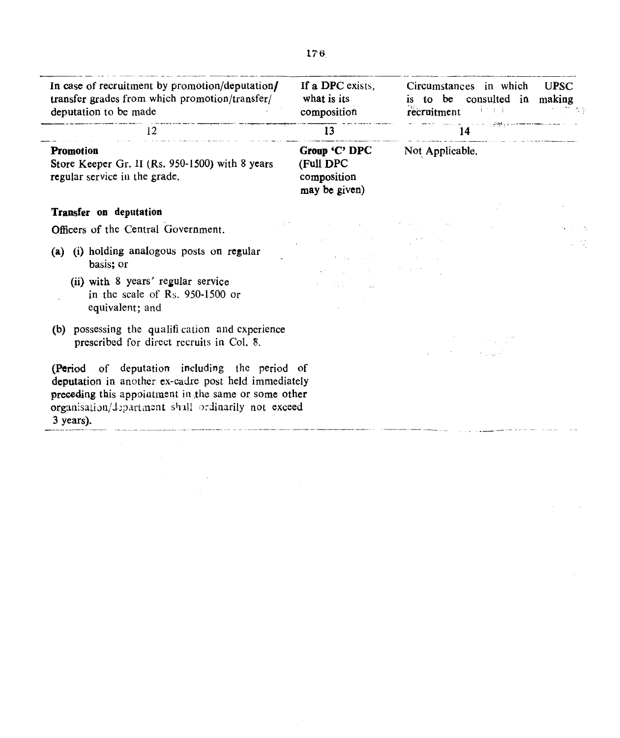| In case of recruitment by promotion/deputation/<br>transfer grades from which promotion/transfer/<br>deputation to be made                                                                                                        | If a DPC exists,<br>what is its<br>composition                                                                          | Circumstances in which<br><b>UPSC</b><br>is to be consulted in making<br>recruitment<br>未生活性<br>그는 그리고 아직 가장 |
|-----------------------------------------------------------------------------------------------------------------------------------------------------------------------------------------------------------------------------------|-------------------------------------------------------------------------------------------------------------------------|--------------------------------------------------------------------------------------------------------------|
| 12                                                                                                                                                                                                                                | 13                                                                                                                      | 14                                                                                                           |
| <b>Promotion</b><br>Store Keeper Gr. II (Rs. 950-1500) with 8 years<br>regular service in the grade.                                                                                                                              | Group 'C' DPC<br>(Full DPC<br>composition<br>may be given)                                                              | Not Applicable.                                                                                              |
| <b>Transfer on deputation</b>                                                                                                                                                                                                     |                                                                                                                         |                                                                                                              |
| Officers of the Central Government.                                                                                                                                                                                               |                                                                                                                         |                                                                                                              |
| (a) (i) holding analogous posts on regular<br>basis; or                                                                                                                                                                           | $\mathcal{A}=\{x_1,\ldots,x_n\}$ , where $\mathcal{A}=\{x_1,\ldots,x_n\}$ , we have<br>state of the state and the state |                                                                                                              |
| (ii) with 8 years' regular service<br>in the scale of $R_s$ . 950-1500 or<br>equivalent; and                                                                                                                                      | $\mathcal{A}=\{x_1,\ldots,x_n\}$ , where $\mathcal{A}=\{x_1,\ldots,x_n\}$                                               |                                                                                                              |
| (b) possessing the qualification and experience<br>prescribed for direct recruits in Col. 8.                                                                                                                                      | <b>Contract Contract Contract</b><br>and the company of                                                                 |                                                                                                              |
| (Period of deputation including the period of<br>deputation in another ex-cadre post held immediately<br>preceding this appointment in the same or some other<br>organisation/department shall ordinarily not exceed<br>3 years). |                                                                                                                         |                                                                                                              |

 $\sim 10^{-1}$ 

 $\sim 10^{-1}$ 

 $\label{eq:2} \mathcal{L}^{(1)}(\mathcal{E}) = \mathcal{L}^{(1)}(\mathcal{E}) \mathcal{L}^{(1)}(\mathcal{E}) \mathcal{L}^{(1)}(\mathcal{E})$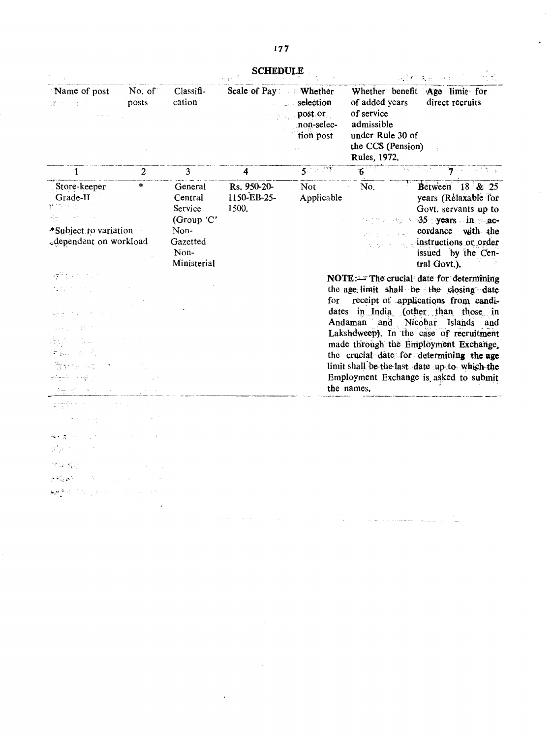$\hat{\gamma}_{\rm eff}$ 

 $\ddot{\phantom{a}}$ 

**SCHEDULE** 

|                                                                                     |                 |                                                                                               | <b>SCHEDULE</b>                     |                                                         |                                                                                                     | $\mathcal{L} \left( \mathcal{L} \right) \left[ \mathbf{F} \right] = \left[ \mathbf{E}_{\mathcal{L}} \right] \left( \mathbf{E}_{\mathcal{L}} \right) \left( \mathbf{A} \right) \mathbf{A}$                                                                                                                                                                                                                                      |
|-------------------------------------------------------------------------------------|-----------------|-----------------------------------------------------------------------------------------------|-------------------------------------|---------------------------------------------------------|-----------------------------------------------------------------------------------------------------|--------------------------------------------------------------------------------------------------------------------------------------------------------------------------------------------------------------------------------------------------------------------------------------------------------------------------------------------------------------------------------------------------------------------------------|
| Name of post<br>達得 自己的人                                                             | No. of<br>posts | Classifi-<br>cation                                                                           | Scale of Pay: Whether               | selection<br>وأنط<br>post or<br>non-selec-<br>tion post | of added years<br>of service<br>admissible<br>under Rule 30 of<br>the CCS (Pension)<br>Rules, 1972. | Whether benefit Age limit for<br>direct recruits                                                                                                                                                                                                                                                                                                                                                                               |
| 1.                                                                                  | $\mathbf{2}$    | $\overline{\mathbf{3}}$                                                                       | 4                                   | $5 - 17$                                                | $\overline{6}$                                                                                      | is that in $\mathbf{7}$ and $\mathbf{1}$ is                                                                                                                                                                                                                                                                                                                                                                                    |
| Store-keeper<br>Grade-II<br>*Subject to variation<br>-dependent on workload         | ×.              | <b>General</b><br>Central<br>Service<br>(Group 'C'<br>Non-<br>Gazetted<br>Non-<br>Ministerial | Rs. 950-20-<br>1150-EB-25-<br>1500. | <b>Not</b><br>Applicable                                | No.                                                                                                 | Between $18 \& 25$<br>years (Relaxable for<br>Govt. servants up to<br>$\rightarrow$ 7 35 years in the ac-<br>cordance with the<br>. instructions or order<br>issued by the Cen-<br>tral Govt.).                                                                                                                                                                                                                                |
| LANCOURSE<br>PS P<br>M.T<br>ਦੀਵਾਲ ਅੰਤਰੀ                                             |                 |                                                                                               |                                     | for                                                     | the names.                                                                                          | NOTE:== The crucial date for determining<br>the age limit shall be the closing date<br>receipt of applications from candi-<br>dates in India (other than those in<br>Andaman and Nicobar Islands and<br>Lakshdweep). In the case of recruitment<br>made through the Employment Exchange,<br>the crucial date for determining the age<br>limit shall be the last date up to which the<br>Employment Exchange is asked to submit |
|                                                                                     |                 |                                                                                               |                                     |                                                         |                                                                                                     |                                                                                                                                                                                                                                                                                                                                                                                                                                |
| $\gamma \rightarrow \gamma \gamma^*$                                                |                 |                                                                                               |                                     |                                                         |                                                                                                     |                                                                                                                                                                                                                                                                                                                                                                                                                                |
| aliya da shekar<br>せな 軽い いい<br>天将漢字 アート・ファイル<br>المستقرب المستقرح الانتقاد والإجهاد |                 |                                                                                               |                                     |                                                         |                                                                                                     |                                                                                                                                                                                                                                                                                                                                                                                                                                |

 $\mathbf{v}^{\pm}$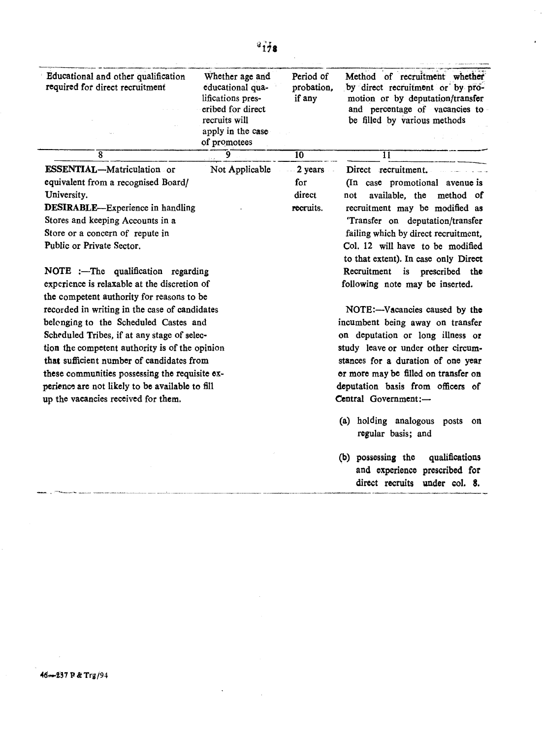| Educational and other qualification<br>required for direct recruitment | Whether age and<br>educational qua-<br>lifications pres-<br>eribed for direct<br>recruits will<br>apply in the case<br>of promotees | Period of<br>probation,<br>if any | Method of recruitment whether<br>by direct recruitment or by pro-<br>motion or by deputation/transfer<br>and percentage of vacancies to<br>be filled by various methods |
|------------------------------------------------------------------------|-------------------------------------------------------------------------------------------------------------------------------------|-----------------------------------|-------------------------------------------------------------------------------------------------------------------------------------------------------------------------|
| $\overline{\mathbf{8}}$                                                | $\mathbf{9}$                                                                                                                        | 10                                | $\overline{1}\overline{1}$                                                                                                                                              |
| ESSENTIAL-Matriculation or                                             | Not Applicable                                                                                                                      | 2 years                           | Direct recruitment.                                                                                                                                                     |
| equivalent from a recognised Board/                                    |                                                                                                                                     | for                               | (In case promotional avenue is                                                                                                                                          |
| University.                                                            |                                                                                                                                     | direct                            | available, the<br>method of<br>not                                                                                                                                      |
| <b>DESIRABLE—Experience in handling</b>                                |                                                                                                                                     | recruits.                         | recruitment may be modified as                                                                                                                                          |
| Stores and keeping Accounts in a                                       |                                                                                                                                     |                                   | Transfer on deputation/transfer                                                                                                                                         |
| Store or a concern of repute in                                        |                                                                                                                                     |                                   | failing which by direct recruitment,                                                                                                                                    |
| Public or Private Sector.                                              |                                                                                                                                     |                                   | Col. 12 will have to be modified<br>to that extent). In case only Direct                                                                                                |
| NOTE :- The qualification regarding                                    |                                                                                                                                     |                                   | Recruitment is prescribed the                                                                                                                                           |
| experience is relaxable at the discretion of                           |                                                                                                                                     |                                   | following note may be inserted.                                                                                                                                         |
| the competent authority for reasons to be                              |                                                                                                                                     |                                   |                                                                                                                                                                         |
| recorded in writing in the case of candidates                          |                                                                                                                                     |                                   | NOTE:---Vacancies caused by the                                                                                                                                         |
| belonging to the Scheduled Castes and                                  |                                                                                                                                     | incumbent being away on transfer  |                                                                                                                                                                         |
| Scheduled Tribes, if at any stage of selec-                            | on deputation or long illness or                                                                                                    |                                   |                                                                                                                                                                         |
| tion the competent authority is of the opinion                         | study leave or under other circum-                                                                                                  |                                   |                                                                                                                                                                         |
| that sufficient number of candidates from                              |                                                                                                                                     |                                   | stances for a duration of one year                                                                                                                                      |
| these communities possessing the requisite ex-                         |                                                                                                                                     |                                   | or more may be filled on transfer on                                                                                                                                    |
| perience are not likely to be available to fill                        |                                                                                                                                     |                                   | deputation basis from officers of                                                                                                                                       |
| up the vacancies received for them.                                    |                                                                                                                                     |                                   | Central Government:-                                                                                                                                                    |
|                                                                        |                                                                                                                                     |                                   |                                                                                                                                                                         |

- (a) holding analogous posts on regular basis; and
- (b) possessing the qualifications and experience prescribed for direct recruits under col. 8.

46-237 P & Trg/94